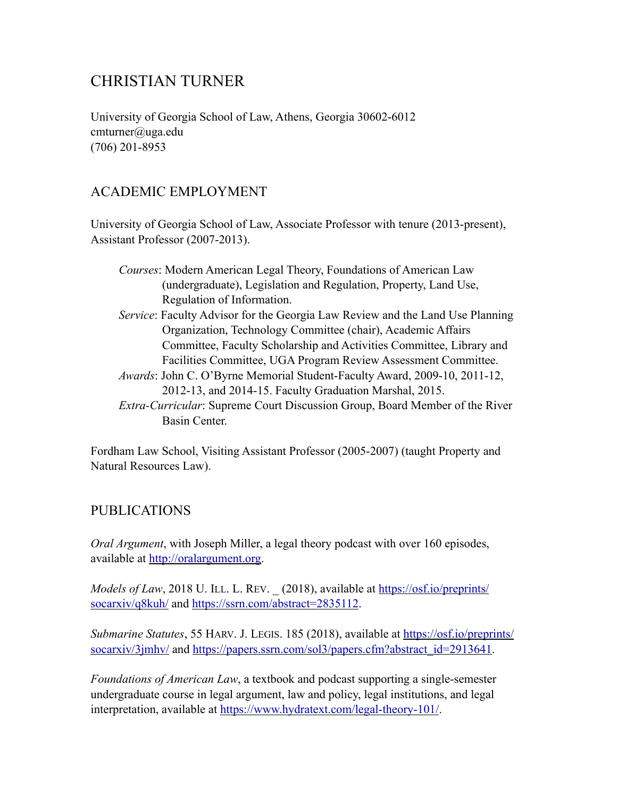# CHRISTIAN TURNER

University of Georgia School of Law, Athens, Georgia 30602-6012 cmturner@uga.edu (706) 201-8953

# ACADEMIC EMPLOYMENT

University of Georgia School of Law, Associate Professor with tenure (2013-present), Assistant Professor (2007-2013).

| Courses: Modern American Legal Theory, Foundations of American Law |
|--------------------------------------------------------------------|
| (undergraduate), Legislation and Regulation, Property, Land Use,   |
| Regulation of Information.                                         |

- *Service*: Faculty Advisor for the Georgia Law Review and the Land Use Planning Organization, Technology Committee (chair), Academic Affairs Committee, Faculty Scholarship and Activities Committee, Library and Facilities Committee, UGA Program Review Assessment Committee.
- *Awards*: John C. O'Byrne Memorial Student-Faculty Award, 2009-10, 2011-12, 2012-13, and 2014-15. Faculty Graduation Marshal, 2015.
- *Extra-Curricular*: Supreme Court Discussion Group, Board Member of the River Basin Center.

Fordham Law School, Visiting Assistant Professor (2005-2007) (taught Property and Natural Resources Law).

## PUBLICATIONS

*Oral Argument*, with Joseph Miller, a legal theory podcast with over 160 episodes, available at <http://oralargument.org>.

*Models of Law*, 2018 U. ILL. L. REV. (2018), available at [https://osf.io/preprints/](https://osf.io/preprints/socarxiv/q8kuh/) [socarxiv/q8kuh/](https://osf.io/preprints/socarxiv/q8kuh/) and [https://ssrn.com/abstract=2835112.](https://ssrn.com/abstract=2835112)

*Submarine Statutes*, 55 HARV. J. LEGIS. 185 (2018), available at [https://osf.io/preprints/](https://osf.io/preprints/socarxiv/3jmhv/) [socarxiv/3jmhv/](https://osf.io/preprints/socarxiv/3jmhv/) and [https://papers.ssrn.com/sol3/papers.cfm?abstract\\_id=2913641](https://papers.ssrn.com/sol3/papers.cfm?abstract_id=2913641).

*Foundations of American Law*, a textbook and podcast supporting a single-semester undergraduate course in legal argument, law and policy, legal institutions, and legal interpretation, available at [https://www.hydratext.com/legal-theory-101/.](https://www.hydratext.com/legal-theory-101/)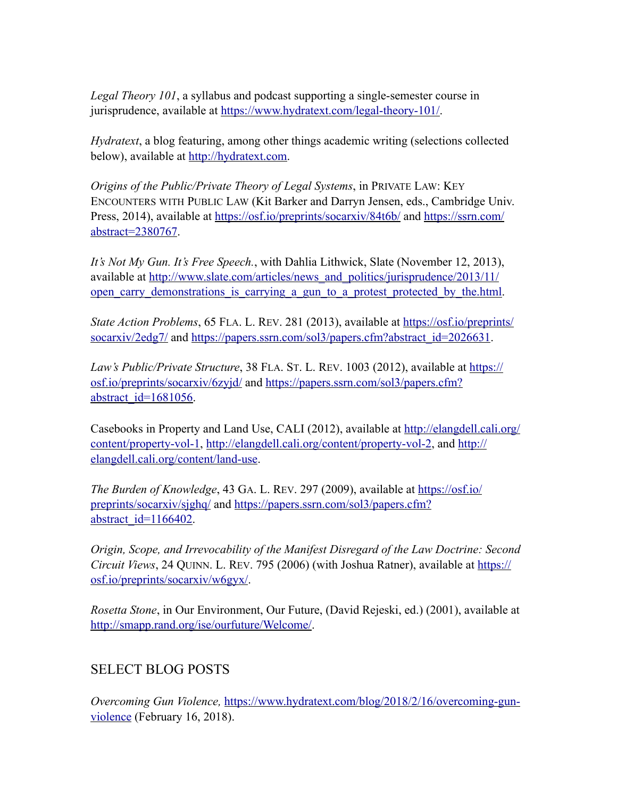*Legal Theory 101*, a syllabus and podcast supporting a single-semester course in jurisprudence, available at<https://www.hydratext.com/legal-theory-101/>.

*Hydratext*, a blog featuring, among other things academic writing (selections collected below), available at [http://hydratext.com.](http://hydratext.com)

*Origins of the Public/Private Theory of Legal Systems*, in PRIVATE LAW: KEY ENCOUNTERS WITH PUBLIC LAW (Kit Barker and Darryn Jensen, eds., Cambridge Univ. Press, 2014), available at<https://osf.io/preprints/socarxiv/84t6b/>and [https://ssrn.com/](https://ssrn.com/abstract=2380767) [abstract=2380767](https://ssrn.com/abstract=2380767).

*It's Not My Gun. It's Free Speech.*, with Dahlia Lithwick, Slate (November 12, 2013), available at [http://www.slate.com/articles/news\\_and\\_politics/jurisprudence/2013/11/](http://www.slate.com/articles/news_and_politics/jurisprudence/2013/11/open_carry_demonstrations_is_carrying_a_gun_to_a_protest_protected_by_the.html) open carry demonstrations is carrying a gun to a protest protected by the.html.

*State Action Problems*, 65 FLA. L. REV. 281 (2013), available at [https://osf.io/preprints/](https://osf.io/preprints/socarxiv/2edg7/) [socarxiv/2edg7/](https://osf.io/preprints/socarxiv/2edg7/) and [https://papers.ssrn.com/sol3/papers.cfm?abstract\\_id=2026631](https://papers.ssrn.com/sol3/papers.cfm?abstract_id=2026631).

*Law's Public/Private Structure*, 38 FLA. ST. L. REV. 1003 (2012), available at [https://](https://osf.io/preprints/socarxiv/6zyjd/) [osf.io/preprints/socarxiv/6zyjd/](https://osf.io/preprints/socarxiv/6zyjd/) and [https://papers.ssrn.com/sol3/papers.cfm?](https://papers.ssrn.com/sol3/papers.cfm?abstract_id=1681056) [abstract\\_id=1681056](https://papers.ssrn.com/sol3/papers.cfm?abstract_id=1681056).

Casebooks in Property and Land Use, CALI (2012), available at [http://elangdell.cali.org/](http://elangdell.cali.org/content/property-vol-1) [content/property-vol-1,](http://elangdell.cali.org/content/property-vol-1) <http://elangdell.cali.org/content/property-vol-2>, and [http://](http://elangdell.cali.org/content/land-use) [elangdell.cali.org/content/land-use.](http://elangdell.cali.org/content/land-use)

*The Burden of Knowledge*, 43 GA. L. REV. 297 (2009), available at [https://osf.io/](https://osf.io/preprints/socarxiv/sjghq/) [preprints/socarxiv/sjghq/](https://osf.io/preprints/socarxiv/sjghq/) and [https://papers.ssrn.com/sol3/papers.cfm?](https://papers.ssrn.com/sol3/papers.cfm?abstract_id=1166402) abstract\_id= $1166402$ .

*Origin, Scope, and Irrevocability of the Manifest Disregard of the Law Doctrine: Second Circuit Views*, 24 QUINN. L. REV. 795 (2006) (with Joshua Ratner), available at [https://](https://osf.io/preprints/socarxiv/w6gyx/) [osf.io/preprints/socarxiv/w6gyx/](https://osf.io/preprints/socarxiv/w6gyx/).

*Rosetta Stone*, in Our Environment, Our Future, (David Rejeski, ed.) (2001), available at <http://smapp.rand.org/ise/ourfuture/Welcome/>.

## SELECT BLOG POSTS

*Overcoming Gun Violence,* [https://www.hydratext.com/blog/2018/2/16/overcoming-gun](https://www.hydratext.com/blog/2018/2/16/overcoming-gun-violence)[violence](https://www.hydratext.com/blog/2018/2/16/overcoming-gun-violence) (February 16, 2018).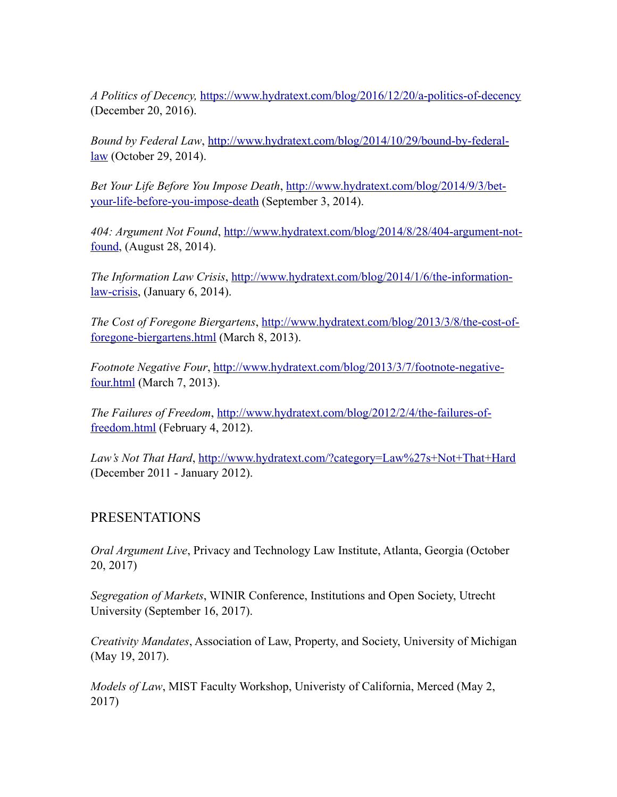*A Politics of Decency,* <https://www.hydratext.com/blog/2016/12/20/a-politics-of-decency> (December 20, 2016).

*Bound by Federal Law*, [http://www.hydratext.com/blog/2014/10/29/bound-by-federal](http://www.hydratext.com/blog/2014/10/29/bound-by-federal-law)[law](http://www.hydratext.com/blog/2014/10/29/bound-by-federal-law) (October 29, 2014).

*Bet Your Life Before You Impose Death*, [http://www.hydratext.com/blog/2014/9/3/bet](http://www.hydratext.com/blog/2014/9/3/bet-your-life-before-you-impose-death)[your-life-before-you-impose-death](http://www.hydratext.com/blog/2014/9/3/bet-your-life-before-you-impose-death) (September 3, 2014).

*404: Argument Not Found*, [http://www.hydratext.com/blog/2014/8/28/404-argument-not](http://www.hydratext.com/blog/2014/8/28/404-argument-not-found)[found,](http://www.hydratext.com/blog/2014/8/28/404-argument-not-found) (August 28, 2014).

*The Information Law Crisis*, [http://www.hydratext.com/blog/2014/1/6/the-information](http://www.hydratext.com/blog/2014/1/6/the-information-law-crisis)[law-crisis,](http://www.hydratext.com/blog/2014/1/6/the-information-law-crisis) (January 6, 2014).

*The Cost of Foregone Biergartens*, [http://www.hydratext.com/blog/2013/3/8/the-cost-of](http://www.hydratext.com/blog/2013/3/8/the-cost-of-foregone-biergartens.html)[foregone-biergartens.html](http://www.hydratext.com/blog/2013/3/8/the-cost-of-foregone-biergartens.html) (March 8, 2013).

*Footnote Negative Four*, [http://www.hydratext.com/blog/2013/3/7/footnote-negative](http://www.hydratext.com/blog/2013/3/7/footnote-negative-four.html)[four.html](http://www.hydratext.com/blog/2013/3/7/footnote-negative-four.html) (March 7, 2013).

*The Failures of Freedom*, [http://www.hydratext.com/blog/2012/2/4/the-failures-of](http://www.hydratext.com/blog/2012/2/4/the-failures-of-freedom.html)[freedom.html](http://www.hydratext.com/blog/2012/2/4/the-failures-of-freedom.html) (February 4, 2012).

*Law's Not That Hard*,<http://www.hydratext.com/?category=Law%27s+Not+That+Hard> (December 2011 - January 2012).

#### PRESENTATIONS

*Oral Argument Live*, Privacy and Technology Law Institute, Atlanta, Georgia (October 20, 2017)

*Segregation of Markets*, WINIR Conference, Institutions and Open Society, Utrecht University (September 16, 2017).

*Creativity Mandates*, Association of Law, Property, and Society, University of Michigan (May 19, 2017).

*Models of Law*, MIST Faculty Workshop, Univeristy of California, Merced (May 2, 2017)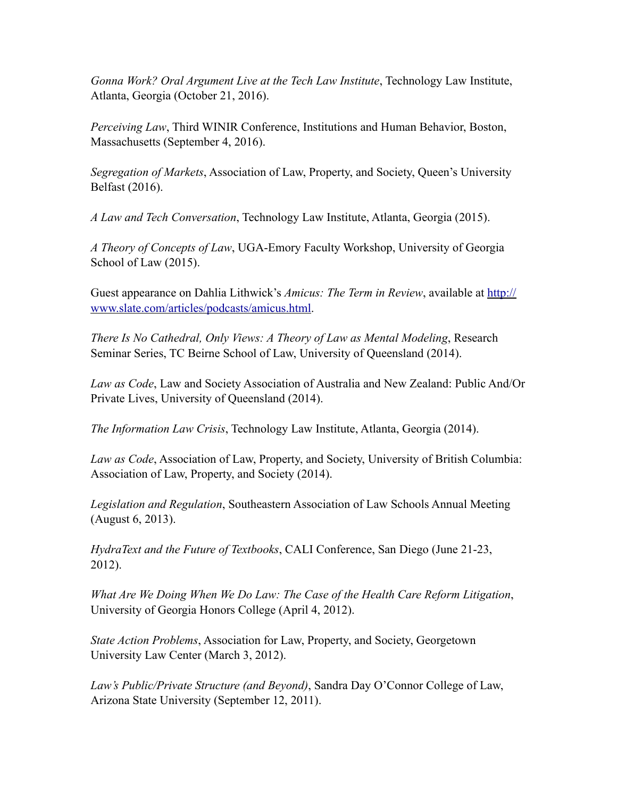*Gonna Work? Oral Argument Live at the Tech Law Institute*, Technology Law Institute, Atlanta, Georgia (October 21, 2016).

*Perceiving Law*, Third WINIR Conference, Institutions and Human Behavior, Boston, Massachusetts (September 4, 2016).

*Segregation of Markets*, Association of Law, Property, and Society, Queen's University Belfast (2016).

*A Law and Tech Conversation*, Technology Law Institute, Atlanta, Georgia (2015).

*A Theory of Concepts of Law*, UGA-Emory Faculty Workshop, University of Georgia School of Law (2015).

Guest appearance on Dahlia Lithwick's *Amicus: The Term in Review*, available at [http://](http://www.slate.com/articles/podcasts/amicus.html) [www.slate.com/articles/podcasts/amicus.html.](http://www.slate.com/articles/podcasts/amicus.html)

*There Is No Cathedral, Only Views: A Theory of Law as Mental Modeling*, Research Seminar Series, TC Beirne School of Law, University of Queensland (2014).

*Law as Code*, Law and Society Association of Australia and New Zealand: Public And/Or Private Lives, University of Queensland (2014).

*The Information Law Crisis*, Technology Law Institute, Atlanta, Georgia (2014).

*Law as Code*, Association of Law, Property, and Society, University of British Columbia: Association of Law, Property, and Society (2014).

*Legislation and Regulation*, Southeastern Association of Law Schools Annual Meeting (August 6, 2013).

*HydraText and the Future of Textbooks*, CALI Conference, San Diego (June 21-23, 2012).

*What Are We Doing When We Do Law: The Case of the Health Care Reform Litigation*, University of Georgia Honors College (April 4, 2012).

*State Action Problems*, Association for Law, Property, and Society, Georgetown University Law Center (March 3, 2012).

*Law's Public/Private Structure (and Beyond)*, Sandra Day O'Connor College of Law, Arizona State University (September 12, 2011).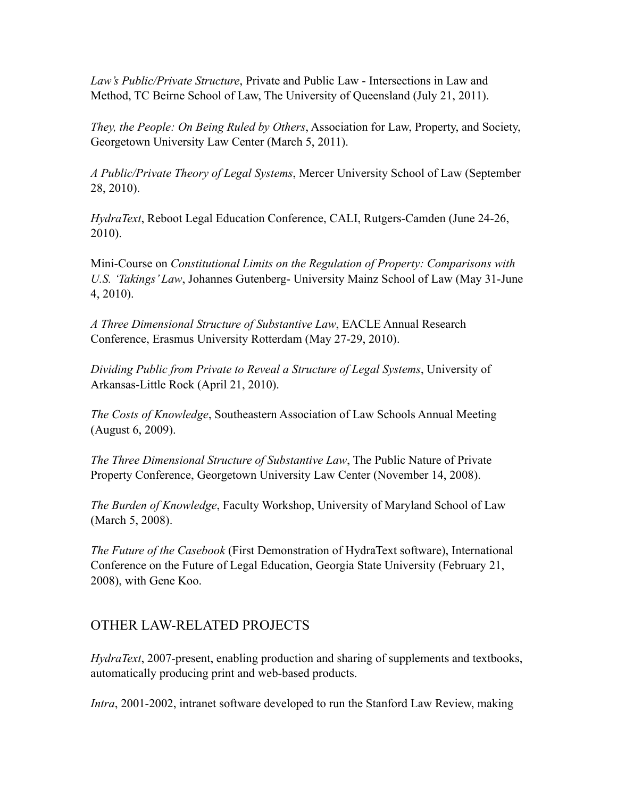*Law's Public/Private Structure*, Private and Public Law - Intersections in Law and Method, TC Beirne School of Law, The University of Queensland (July 21, 2011).

*They, the People: On Being Ruled by Others*, Association for Law, Property, and Society, Georgetown University Law Center (March 5, 2011).

*A Public/Private Theory of Legal Systems*, Mercer University School of Law (September 28, 2010).

*HydraText*, Reboot Legal Education Conference, CALI, Rutgers-Camden (June 24-26, 2010).

Mini-Course on *Constitutional Limits on the Regulation of Property: Comparisons with U.S. 'Takings' Law*, Johannes Gutenberg- University Mainz School of Law (May 31-June 4, 2010).

*A Three Dimensional Structure of Substantive Law*, EACLE Annual Research Conference, Erasmus University Rotterdam (May 27-29, 2010).

*Dividing Public from Private to Reveal a Structure of Legal Systems*, University of Arkansas-Little Rock (April 21, 2010).

*The Costs of Knowledge*, Southeastern Association of Law Schools Annual Meeting (August 6, 2009).

*The Three Dimensional Structure of Substantive Law*, The Public Nature of Private Property Conference, Georgetown University Law Center (November 14, 2008).

*The Burden of Knowledge*, Faculty Workshop, University of Maryland School of Law (March 5, 2008).

*The Future of the Casebook* (First Demonstration of HydraText software), International Conference on the Future of Legal Education, Georgia State University (February 21, 2008), with Gene Koo.

#### OTHER LAW-RELATED PROJECTS

*HydraText*, 2007-present, enabling production and sharing of supplements and textbooks, automatically producing print and web-based products.

*Intra*, 2001-2002, intranet software developed to run the Stanford Law Review, making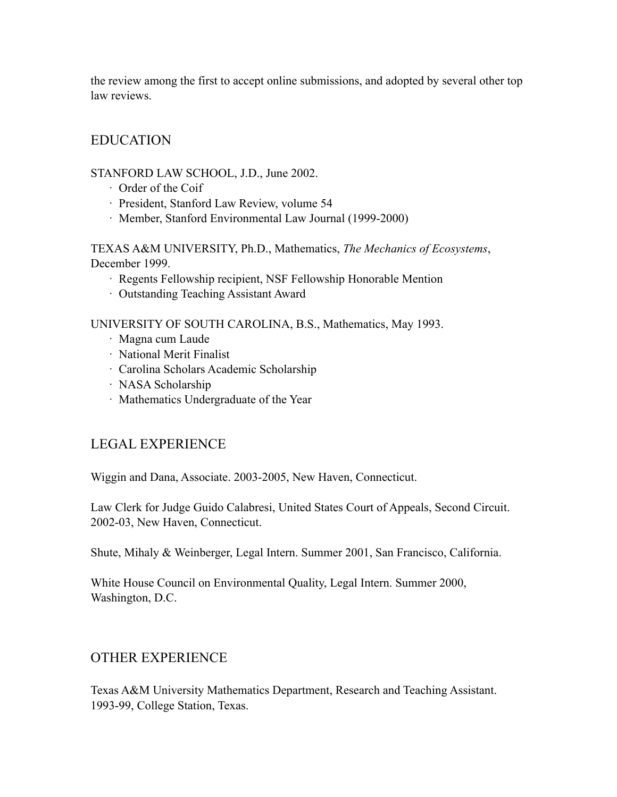the review among the first to accept online submissions, and adopted by several other top law reviews.

## EDUCATION

#### STANFORD LAW SCHOOL, J.D., June 2002.

- · Order of the Coif
- · President, Stanford Law Review, volume 54
- · Member, Stanford Environmental Law Journal (1999-2000)

TEXAS A&M UNIVERSITY, Ph.D., Mathematics, *The Mechanics of Ecosystems*, December 1999.

- · Regents Fellowship recipient, NSF Fellowship Honorable Mention
- · Outstanding Teaching Assistant Award

UNIVERSITY OF SOUTH CAROLINA, B.S., Mathematics, May 1993.

- · Magna cum Laude
- · National Merit Finalist
- · Carolina Scholars Academic Scholarship
- · NASA Scholarship
- · Mathematics Undergraduate of the Year

## LEGAL EXPERIENCE

Wiggin and Dana, Associate. 2003-2005, New Haven, Connecticut.

Law Clerk for Judge Guido Calabresi, United States Court of Appeals, Second Circuit. 2002-03, New Haven, Connecticut.

Shute, Mihaly & Weinberger, Legal Intern. Summer 2001, San Francisco, California.

White House Council on Environmental Quality, Legal Intern. Summer 2000, Washington, D.C.

## OTHER EXPERIENCE

Texas A&M University Mathematics Department, Research and Teaching Assistant. 1993-99, College Station, Texas.